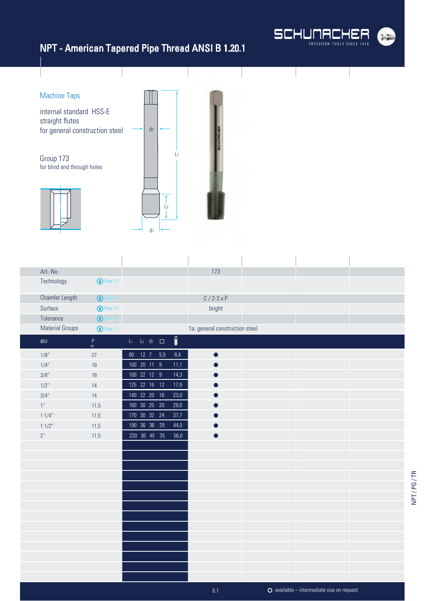

 $\overline{1}$ 

## NPT - American Tapered Pipe Thread ANSI B 1.20.1



 $\overline{1}$ 

| Art.-No.               |                       |                          |      | 173                            |  |  |
|------------------------|-----------------------|--------------------------|------|--------------------------------|--|--|
| Technology             | <sup>1</sup> Page 7.1 |                          |      |                                |  |  |
| <b>Chamfer Length</b>  | <sup>D</sup> Page 7.4 |                          |      | $C / 2 - 3x P$                 |  |  |
| Surface                | <b>1</b> Page 7.5     |                          |      | bright                         |  |  |
| Tolerance              | $\bigodot$ Page 7.6   |                          |      |                                |  |  |
| <b>Material Groups</b> | <b>1</b> Page 7.7     |                          |      | 1a. general construction steel |  |  |
| $\emptyset$ dı         | $P$ <sub>tpi</sub>    | $L_1$ $L_2$ $d_2$ $\Box$ | İ    |                                |  |  |
| 1/8"                   | 27                    | 90 12 7 5,5              | 8,4  |                                |  |  |
| 1/4"                   | $18\,$                | 100 20 11 9              | 11,1 |                                |  |  |
| 3/8"                   | $18\,$                | 100 22 12 9              | 14,3 |                                |  |  |
| 1/2"                   | 14                    | 125 22 16 12             | 17,9 |                                |  |  |
| 3/4"                   | 14                    | 140 22 20 16             | 23,0 |                                |  |  |
| $1^{\prime\prime}$     | 11,5                  | 160 30 25 20             | 29,0 |                                |  |  |
| 11/4"                  | 11,5                  | 170 30 32 24             | 37,7 |                                |  |  |
| 11/2"                  | 11,5                  | 190 36 36 29             | 44,0 |                                |  |  |
| $2^{\prime\prime}$     | 11,5                  | 220 36 45 35             | 56,0 |                                |  |  |
|                        |                       |                          |      |                                |  |  |
|                        |                       |                          |      |                                |  |  |
|                        |                       |                          |      |                                |  |  |
|                        |                       |                          |      |                                |  |  |
|                        |                       |                          |      |                                |  |  |
|                        |                       |                          |      |                                |  |  |
|                        |                       |                          |      |                                |  |  |
|                        |                       |                          |      |                                |  |  |
|                        |                       |                          |      |                                |  |  |
|                        |                       |                          |      |                                |  |  |
|                        |                       |                          |      |                                |  |  |
|                        |                       |                          |      |                                |  |  |
|                        |                       |                          |      |                                |  |  |
|                        |                       |                          |      |                                |  |  |

 $\overline{1}$ 

 $\mathbf{I}$